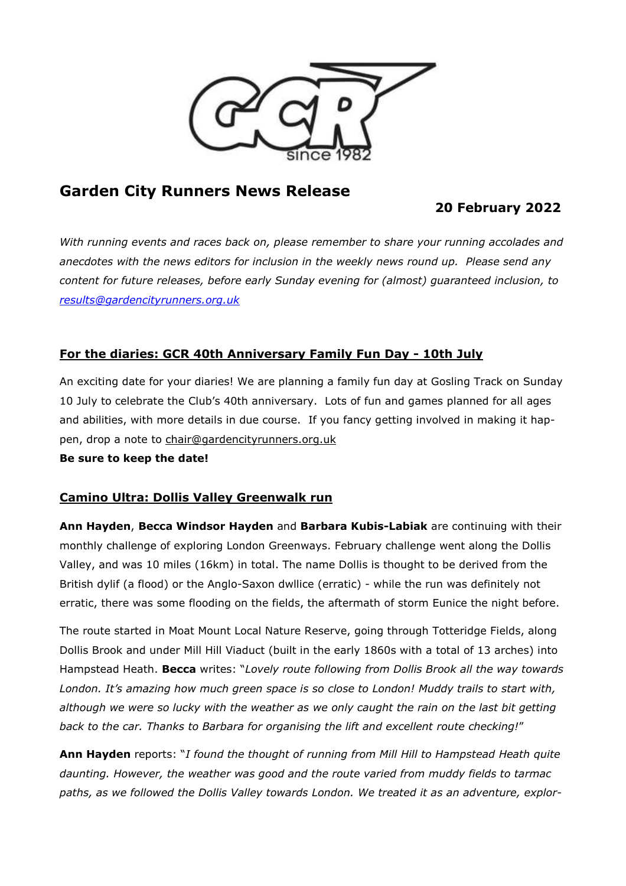

# **Garden City Runners News Release**

# **20 February 2022**

*With running events and races back on, please remember to share your running accolades and anecdotes with the news editors for inclusion in the weekly news round up. Please send any content for future releases, before early Sunday evening for (almost) guaranteed inclusion, to [results@gardencityrunners.org.uk](mailto:results@gardencityrunners.org.uk)*

### **For the diaries: GCR 40th Anniversary Family Fun Day - 10th July**

An exciting date for your diaries! We are planning a family fun day at Gosling Track on Sunday 10 July to celebrate the Club's 40th anniversary. Lots of fun and games planned for all ages and abilities, with more details in due course. If you fancy getting involved in making it happen, drop a note to [chair@gardencityrunners.org.uk](mailto:chair@gardencityrunners.org.uk)

**Be sure to keep the date!**

#### **Camino Ultra: Dollis Valley Greenwalk run**

**Ann Hayden**, **Becca Windsor Hayden** and **Barbara Kubis-Labiak** are continuing with their monthly challenge of exploring London Greenways. February challenge went along the Dollis Valley, and was 10 miles (16km) in total. The name Dollis is thought to be derived from the British dylif (a flood) or the Anglo-Saxon dwllice (erratic) - while the run was definitely not erratic, there was some flooding on the fields, the aftermath of storm Eunice the night before.

The route started in Moat Mount Local Nature Reserve, going through Totteridge Fields, along Dollis Brook and under Mill Hill Viaduct (built in the early 1860s with a total of 13 arches) into Hampstead Heath. **Becca** writes: "*Lovely route following from Dollis Brook all the way towards London. It's amazing how much green space is so close to London! Muddy trails to start with,* although we were so lucky with the weather as we only caught the rain on the last bit getting *back to the car. Thanks to Barbara for organising the lift and excellent route checking!*"

**Ann Hayden** reports: "*I found the thought of running from Mill Hill to Hampstead Heath quite daunting. However, the weather was good and the route varied from muddy fields to tarmac paths, as we followed the Dollis Valley towards London. We treated it as an adventure, explor-*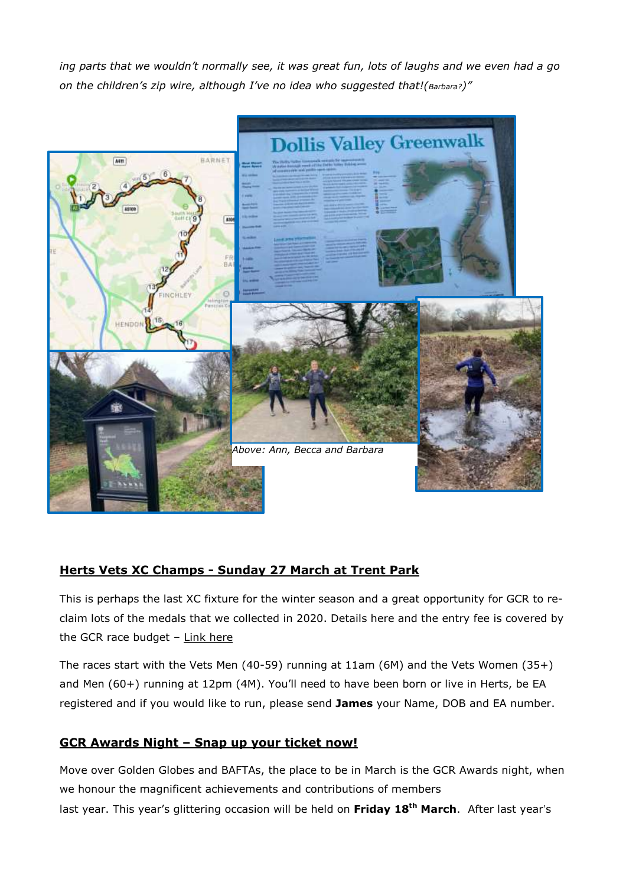ing parts that we wouldn't normally see, it was great fun, lots of laughs and we even had a go *on the children's zip wire, although I've no idea who suggested that!(Barbara?)"*



## **Herts Vets XC Champs - Sunday 27 March at Trent Park**

This is perhaps the last XC fixture for the winter season and a great opportunity for GCR to reclaim lots of the medals that we collected in 2020. Details here and the entry fee is covered by the GCR race budget  $-$  Link [here](https://www.racesonline.uk/docs/HertsMastersCCProspectus2022.pdf)

The races start with the Vets Men (40-59) running at 11am (6M) and the Vets Women (35+) and Men (60+) running at 12pm (4M). You'll need to have been born or live in Herts, be EA registered and if you would like to run, please send **James** your Name, DOB and EA number.

## **GCR Awards Night – Snap up your ticket now!**

Move over Golden Globes and BAFTAs, the place to be in March is the GCR Awards night, when we honour the magnificent achievements and contributions of members last year. This year's glittering occasion will be held on **Friday 18th March**. After last year's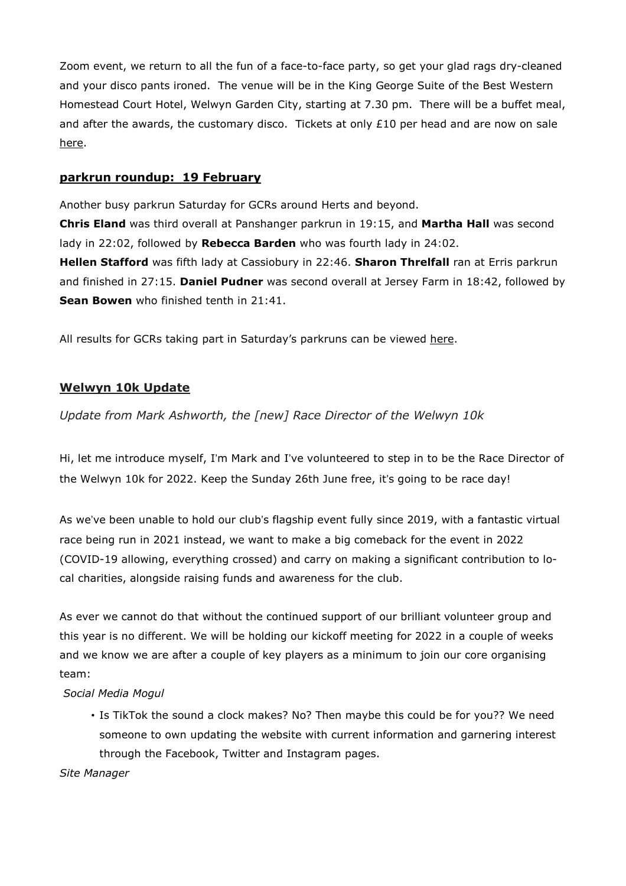Zoom event, we return to all the fun of a face-to-face party, so get your glad rags dry-cleaned and your disco pants ironed. The venue will be in the King George Suite of the Best Western Homestead Court Hotel, Welwyn Garden City, starting at 7.30 pm. There will be a buffet meal, and after the awards, the customary disco. Tickets at only  $£10$  per head and are now on sale [here.](https://www.racesonline.uk/race-entry/gcrsocial/index.php?id=1&fbclid=IwAR21RwYsd4Ql4QbocgevU8rRNe7wvCjQ4TWNj_mAXfFeFL9Ku_0dNGd_dpw)

#### **parkrun roundup: 19 February**

Another busy parkrun Saturday for GCRs around Herts and beyond.

**Chris Eland** was third overall at Panshanger parkrun in 19:15, and **Martha Hall** was second lady in 22:02, followed by **Rebecca Barden** who was fourth lady in 24:02. **Hellen Stafford** was fifth lady at Cassiobury in 22:46. **Sharon Threlfall** ran at Erris parkrun and finished in 27:15. **Daniel Pudner** was second overall at Jersey Farm in 18:42, followed by **Sean Bowen** who finished tenth in 21:41.

All results for GCRs taking part in Saturday's parkruns can be viewed [here.](https://www.parkrun.com/results/consolidatedclub/?clubNum=1430&eventdate=2022-02-19)

#### **Welwyn 10k Update**

*Update from Mark Ashworth, the [new] Race Director of the Welwyn 10k*

Hi, let me introduce myself, I'm Mark and I've volunteered to step in to be the Race Director of the Welwyn 10k for 2022. Keep the Sunday 26th June free, it's going to be race day!

As we've been unable to hold our club's flagship event fully since 2019, with a fantastic virtual race being run in 2021 instead, we want to make a big comeback for the event in 2022 (COVID-19 allowing, everything crossed) and carry on making a significant contribution to local charities, alongside raising funds and awareness for the club.

As ever we cannot do that without the continued support of our brilliant volunteer group and this year is no different. We will be holding our kickoff meeting for 2022 in a couple of weeks and we know we are after a couple of key players as a minimum to join our core organising team:

#### *Social Media Mogul*

• Is TikTok the sound a clock makes? No? Then maybe this could be for you?? We need someone to own updating the website with current information and garnering interest through the Facebook, Twitter and Instagram pages.

*Site Manager*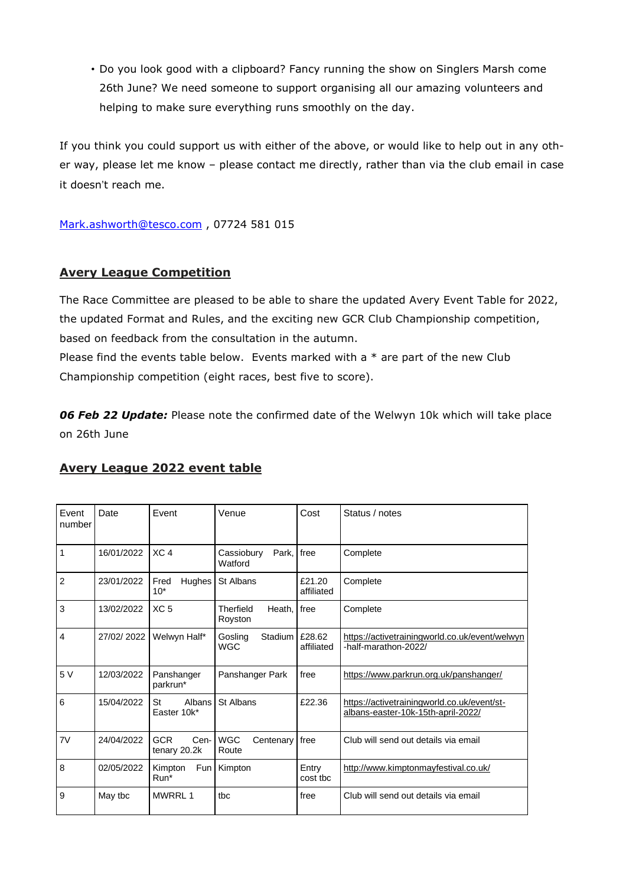• Do you look good with a clipboard? Fancy running the show on Singlers Marsh come 26th June? We need someone to support organising all our amazing volunteers and helping to make sure everything runs smoothly on the day.

If you think you could support us with either of the above, or would like to help out in any other way, please let me know – please contact me directly, rather than via the club email in case it doesn't reach me.

[Mark.ashworth@tesco.com](mailto:Mark.ashworth@tesco.com) , 07724 581 015

#### **Avery League Competition**

The Race Committee are pleased to be able to share the updated Avery Event Table for 2022, the updated Format and Rules, and the exciting new GCR Club Championship competition, based on feedback from the consultation in the autumn. Please find the events table below. Events marked with a  $*$  are part of the new Club Championship competition (eight races, best five to score).

*06 Feb 22 Update:* Please note the confirmed date of the Welwyn 10k which will take place on 26th June

#### **Avery League 2022 event table**

| Event<br>number | Date       | Event                              | Venue                            | Cost                 | Status / notes                                                                    |
|-----------------|------------|------------------------------------|----------------------------------|----------------------|-----------------------------------------------------------------------------------|
| 1               | 16/01/2022 | XC <sub>4</sub>                    | Cassioburv<br>Park.<br>Watford   | free                 | Complete                                                                          |
| $\overline{2}$  | 23/01/2022 | Fred<br>Hughes<br>$10*$            | St Albans                        | £21.20<br>affiliated | Complete                                                                          |
| 3               | 13/02/2022 | XC <sub>5</sub>                    | Therfield<br>Heath.<br>Royston   | free                 | Complete                                                                          |
| 4               | 27/02/2022 | Welwyn Half*                       | Goslina<br>Stadium<br><b>WGC</b> | £28.62<br>affiliated | https://activetrainingworld.co.uk/event/welwyn<br>-half-marathon-2022/            |
| 5 V             | 12/03/2022 | Panshanger<br>parkrun*             | Panshanger Park                  | free                 | https://www.parkrun.org.uk/panshanger/                                            |
| 6               | 15/04/2022 | St<br>Albans<br>Easter 10k*        | St Albans                        | £22.36               | https://activetrainingworld.co.uk/event/st-<br>albans-easter-10k-15th-april-2022/ |
| 7V              | 24/04/2022 | <b>GCR</b><br>Cen-<br>tenary 20.2k | <b>WGC</b><br>Centenary<br>Route | free                 | Club will send out details via email                                              |
| 8               | 02/05/2022 | Kimpton<br>Fun I<br>Run*           | Kimpton                          | Entry<br>cost tbc    | http://www.kimptonmayfestival.co.uk/                                              |
| 9               | May tbc    | <b>MWRRL1</b>                      | tbc                              | free                 | Club will send out details via email                                              |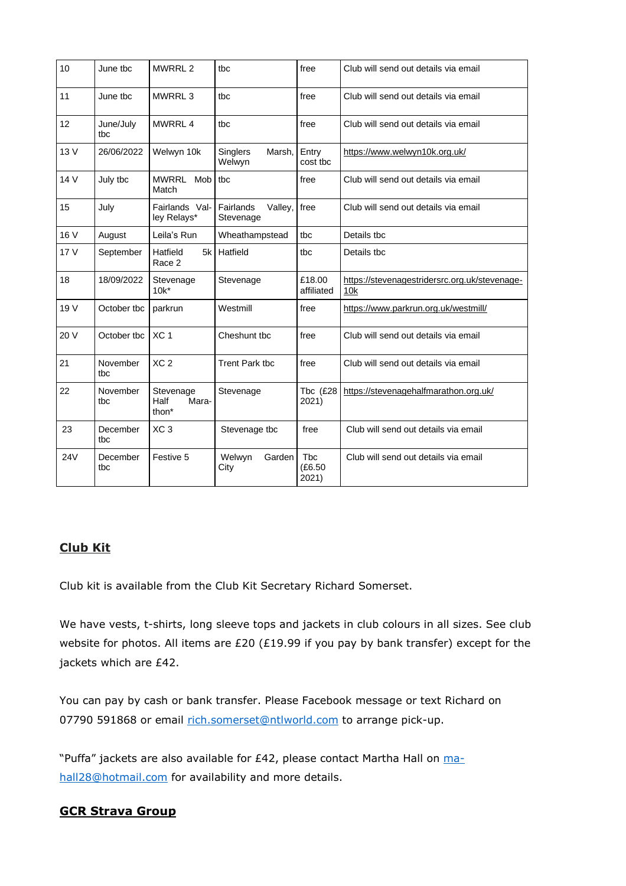| 10         | June tbc         | MWRRL <sub>2</sub>                              | tbc                               | free                           | Club will send out details via email                 |
|------------|------------------|-------------------------------------------------|-----------------------------------|--------------------------------|------------------------------------------------------|
| 11         | June tbc         | MWRRL <sub>3</sub>                              | tbc                               | free                           | Club will send out details via email                 |
| 12         | June/July<br>tbc | MWRRL 4                                         | tbc                               | free                           | Club will send out details via email                 |
| 13 V       | 26/06/2022       | Welwyn 10k                                      | Singlers<br>Marsh,<br>Welwyn      | Entry<br>cost tbc              | https://www.welwyn10k.org.uk/                        |
| 14 V       | July tbc         | MWRRL Mob<br>Match                              | tbc                               | free                           | Club will send out details via email                 |
| 15         | July             | Fairlands Val-<br>ley Relays*                   | Fairlands<br>Valley,<br>Stevenage | free                           | Club will send out details via email                 |
| 16 V       | August           | Leila's Run                                     | Wheathampstead                    | tbc                            | Details tbc                                          |
| 17 V       | September        | Hatfield<br>5k<br>Race 2                        | Hatfield                          | tbc                            | Details tbc                                          |
| 18         | 18/09/2022       | Stevenage<br>$10k^*$                            | Stevenage                         | £18.00<br>affiliated           | https://stevenagestridersrc.org.uk/stevenage-<br>10k |
| 19 V       | October tbc      | parkrun                                         | Westmill                          | free                           | https://www.parkrun.org.uk/westmill/                 |
| 20 V       | October tbc      | XC <sub>1</sub>                                 | Cheshunt tbc                      | free                           | Club will send out details via email                 |
| 21         | November<br>tbc  | XC <sub>2</sub>                                 | <b>Trent Park tbc</b>             | free                           | Club will send out details via email                 |
| 22         | November<br>tbc  | Stevenage<br>Half<br>Mara-<br>thon <sup>*</sup> | Stevenage                         | Tbc $(E28)$<br>2021)           | https://stevenagehalfmarathon.org.uk/                |
| 23         | December<br>tbc  | XC <sub>3</sub>                                 | Stevenage tbc                     | free                           | Club will send out details via email                 |
| <b>24V</b> | December<br>tbc  | Festive 5                                       | Welwyn<br>Garden<br>City          | <b>Tbc</b><br>(E6.50)<br>2021) | Club will send out details via email                 |

#### **Club Kit**

Club kit is available from the Club Kit Secretary Richard Somerset.

We have vests, t-shirts, long sleeve tops and jackets in club colours in all sizes. See club website for photos. All items are £20 (£19.99 if you pay by bank transfer) except for the jackets which are £42.

You can pay by cash or bank transfer. Please Facebook message or text Richard on 07790 591868 or email [rich.somerset@ntlworld.com](mailto:rich.somerset@ntlworld.com) to arrange pick-up.

"Puffa" jackets are also available for £42, please contact Martha Hall on [ma](mailto:mahall28@hotmail.com)[hall28@hotmail.com](mailto:mahall28@hotmail.com) for availability and more details.

### **GCR Strava Group**